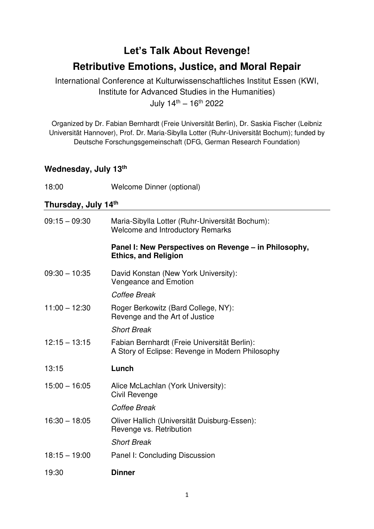# **Let's Talk About Revenge! Retributive Emotions, Justice, and Moral Repair**

International Conference at Kulturwissenschaftliches Institut Essen (KWI, Institute for Advanced Studies in the Humanities) July  $14^{\text{th}} - 16^{\text{th}}$  2022

Organized by Dr. Fabian Bernhardt (Freie Universität Berlin), Dr. Saskia Fischer (Leibniz Universität Hannover), Prof. Dr. Maria-Sibylla Lotter (Ruhr-Universität Bochum); funded by Deutsche Forschungsgemeinschaft (DFG, German Research Foundation)

### **Wednesday, July 13th**

18:00 Welcome Dinner (optional)

### **Thursday, July 14th**

| $09:15 - 09:30$ | Maria-Sibylla Lotter (Ruhr-Universität Bochum):<br><b>Welcome and Introductory Remarks</b>       |
|-----------------|--------------------------------------------------------------------------------------------------|
|                 | Panel I: New Perspectives on Revenge – in Philosophy,<br><b>Ethics, and Religion</b>             |
| $09:30 - 10:35$ | David Konstan (New York University):<br>Vengeance and Emotion                                    |
|                 | Coffee Break                                                                                     |
| $11:00 - 12:30$ | Roger Berkowitz (Bard College, NY):<br>Revenge and the Art of Justice                            |
|                 | <b>Short Break</b>                                                                               |
| $12:15 - 13:15$ | Fabian Bernhardt (Freie Universität Berlin):<br>A Story of Eclipse: Revenge in Modern Philosophy |
| 13:15           | Lunch                                                                                            |
| $15:00 - 16:05$ | Alice McLachlan (York University):<br>Civil Revenge                                              |
|                 | Coffee Break                                                                                     |
| $16:30 - 18:05$ | Oliver Hallich (Universität Duisburg-Essen):<br>Revenge vs. Retribution                          |
|                 | <b>Short Break</b>                                                                               |
| $18:15 - 19:00$ | Panel I: Concluding Discussion                                                                   |
| 19:30           | <b>Dinner</b>                                                                                    |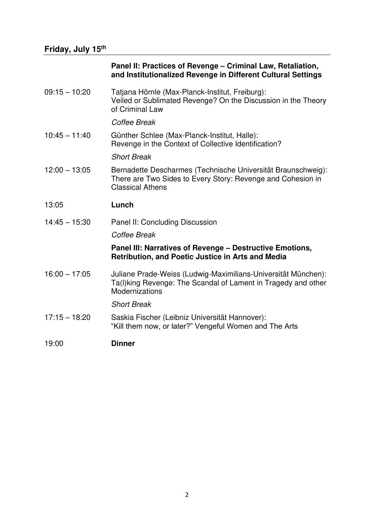## **Friday, July 15th**

#### **Panel II: Practices of Revenge – Criminal Law, Retaliation, and Institutionalized Revenge in Different Cultural Settings**

| 09:15 - 10:20   | Tatjana Hörnle (Max-Planck-Institut, Freiburg):<br>Veiled or Sublimated Revenge? On the Discussion in the Theory<br>of Criminal Law                      |
|-----------------|----------------------------------------------------------------------------------------------------------------------------------------------------------|
|                 | Coffee Break                                                                                                                                             |
| $10:45 - 11:40$ | Günther Schlee (Max-Planck-Institut, Halle):<br>Revenge in the Context of Collective Identification?                                                     |
|                 | <b>Short Break</b>                                                                                                                                       |
| $12:00 - 13:05$ | Bernadette Descharmes (Technische Universität Braunschweig):<br>There are Two Sides to Every Story: Revenge and Cohesion in<br><b>Classical Athens</b>   |
| 13:05           | Lunch                                                                                                                                                    |
| $14:45 - 15:30$ | Panel II: Concluding Discussion                                                                                                                          |
|                 | Coffee Break                                                                                                                                             |
|                 | Panel III: Narratives of Revenge - Destructive Emotions,<br>Retribution, and Poetic Justice in Arts and Media                                            |
| $16:00 - 17:05$ | Juliane Prade-Weiss (Ludwig-Maximilians-Universität München):<br>Ta(I) king Revenge: The Scandal of Lament in Tragedy and other<br><b>Modernizations</b> |
|                 | <b>Short Break</b>                                                                                                                                       |
| $17:15 - 18:20$ | Saskia Fischer (Leibniz Universität Hannover):<br>"Kill them now, or later?" Vengeful Women and The Arts                                                 |
| 19:00           | <b>Dinner</b>                                                                                                                                            |